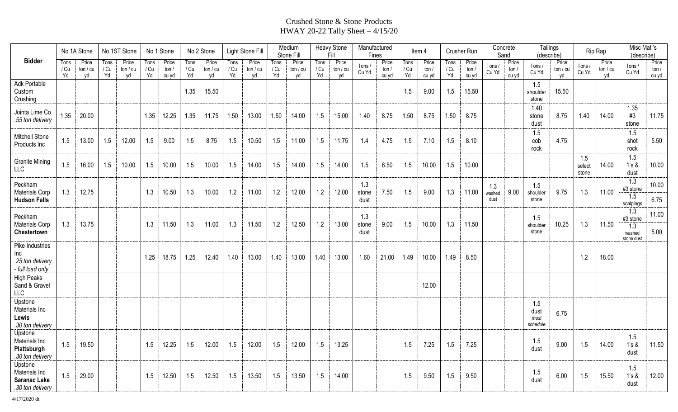## Crushed Stone & Stone Products HWAY 20-22 Tally Sheet – 4/15/20

| <b>Bidder</b>                                                       | No 1A Stone        |                       | No 1ST Stone       |                         | No 1 Stone         |                           | No 2 Stone         |                           | Light Stone Fill   |                         | Medium<br>Stone Fill |                         | <b>Heavy Stone</b><br>Fill |                         | Manufactured<br>Fines |                        | ltem 4             |                        | Crusher Run        |                         | Concrete<br>Sand      |                        | Tailings<br>(describe)          |                         | Rip Rap                |                         | Misc Matl's<br>(describe)                      |                           |
|---------------------------------------------------------------------|--------------------|-----------------------|--------------------|-------------------------|--------------------|---------------------------|--------------------|---------------------------|--------------------|-------------------------|----------------------|-------------------------|----------------------------|-------------------------|-----------------------|------------------------|--------------------|------------------------|--------------------|-------------------------|-----------------------|------------------------|---------------------------------|-------------------------|------------------------|-------------------------|------------------------------------------------|---------------------------|
|                                                                     | Tons<br>/ Cu<br>Yd | Price<br>tan/cu<br>yd | Tons<br>/ Cu<br>Yd | Price<br>ton / cu<br>yd | Tons<br>/ Cu<br>Yd | Price<br>ton $/$<br>cu yd | Tons<br>/ Cu<br>Yd | Price<br>ton $/$ cu<br>vd | Tons<br>/ Cu<br>Yd | Price<br>ton / cu<br>yd | Tons<br>/ Cu<br>Yd   | Price<br>ton / cu<br>yd | Tons<br>/ Cu<br>Yd         | Price<br>tan / cu<br>yd | Tons /<br>Cu Yd       | Price<br>ton/<br>cu yd | Tons<br>/ Cu<br>Yd | Price<br>ton/<br>cu yd | Tons<br>/ Cu<br>Yd | Price<br>ton /<br>cu yd | Tons /<br>Cu Yd       | Price<br>ton/<br>cu yd | Tons /<br>Cu Yd                 | Price<br>ton / cu<br>yd | Tons /<br>Cu Yd        | Price<br>ton / cu<br>vd | Tons/<br>Cu Yd                                 | Price<br>ton $/$<br>cu yd |
| Adk Portable<br>Custom<br>Crushing                                  |                    |                       |                    |                         |                    |                           | 1.35               | 15.50                     |                    |                         |                      |                         |                            |                         |                       |                        | 1.5                | 9.00                   | 1.5                | 15.50                   |                       |                        | 1.5<br>shoulder<br>stone        | 15.50                   |                        |                         |                                                |                           |
| Jointa Lime Co<br>.55 ton delivery                                  | 1.35               | 20.00                 |                    |                         | 1.35               | 12.25                     | 1.35               | 11.75                     | 1.50               | 13.00                   | 1.50                 | 14.00                   | 1.5                        | 15.00                   | 1.40                  | 8.75                   | 1.50               | 8.75                   | 1.50               | 8.75                    |                       |                        | 1.40<br>stone<br>dust           | 8.75                    | 1.40                   | 14.00                   | 1.35<br>#3<br>stone                            | 11.75                     |
| Mitchell Stone<br>Products Inc                                      | 1.5                | 13.00                 | 1.5                | 12.00                   | 1.5                | 9.00                      | 1.5                | 8.75                      | 1.5                | 10.50                   | 1.5                  | 11.00                   | 1.5                        | 11.75                   | 1.4                   | 4.75                   | 1.5                | 7.10                   | 1.5                | 8.10                    |                       |                        | 1.5<br>cob<br>rock              | 4.75                    |                        |                         | 1.5<br>shot<br>rock                            | 5.50                      |
| <b>Granite Mining</b><br><b>LLC</b>                                 | 1.5                | 16.00                 | 1.5                | 10.00                   | 1.5                | 10.00                     | 1.5                | 10.00                     | 1.5                | 14.00                   | 1.5                  | 14.00                   | 1.5                        | 14.00                   | 1.5                   | 6.50                   | 1.5                | 10.00                  | 1.5                | 10.00                   |                       |                        |                                 |                         | 1.5<br>select<br>stone | 14.00                   | 1.5<br>1's &<br>dust                           | 10.00                     |
| Peckham<br>Materials Corp<br><b>Hudson Falls</b>                    | 1.3                | 12.75                 |                    |                         | 1.3                | 10.50                     | 1.3                | 10.00                     | 1.2                | 11.00                   | 1.2                  | 12.00                   | 1.2                        | 12.00                   | 1.3<br>stone<br>dust  | 7.50                   | 1.5                | 9.00                   | 1.3                | 11.00                   | 1.3<br>washed<br>dust | 9.00                   | 1.5<br>shoulder<br>stone        | 9.75                    | 1.3                    | 11.00                   | 1.3<br>#3 stone<br>1.5<br>scalpings            | 10.00<br>6.75             |
| Peckham<br>Materials Corp<br>Chestertown                            | 1.3                | 13.75                 |                    |                         | 1.3                | 11.50                     | 1.3                | 11.00                     | 1.3                | 11.50                   | 1.2                  | 12.50                   | 1.2                        | 13.00                   | 1.3<br>stone<br>dust  | 9.00                   | 1.5                | 10.00                  | 1.3                | 11.50                   |                       |                        | 1.5<br>shoulder<br>stone        | 10.25                   | 1.3                    | 11.50                   | 1.3<br>#3 stone<br>1.3<br>washed<br>stone dust | 11.00<br>5.00             |
| Pike Industries<br>Inc<br>.25 ton delivery<br>- full load only      |                    |                       |                    |                         | 1.25               | 18.75                     | 1.25               | 12.40                     | 1.40               | 13.00                   | 1.40                 | 13.00                   | 1.40                       | 13.00                   | 1.60                  | 21.00                  | 1.49               | 10.00                  | 1.49               | 8.50                    |                       |                        |                                 |                         | 1.2                    | 18.00                   |                                                |                           |
| <b>High Peaks</b><br>Sand & Gravel<br><b>LLC</b>                    |                    |                       |                    |                         |                    |                           |                    |                           |                    |                         |                      |                         |                            |                         |                       |                        |                    | 12.00                  |                    |                         |                       |                        |                                 |                         |                        |                         |                                                |                           |
| Upstone<br>Materials Inc<br>Lewis<br>.30 ton delivery               |                    |                       |                    |                         |                    |                           |                    |                           |                    |                         |                      |                         |                            |                         |                       |                        |                    |                        |                    |                         |                       |                        | 1.5<br>dust<br>must<br>schedule | 6.75                    |                        |                         |                                                |                           |
| Upstone<br>Materials Inc<br>Plattsburgh<br>.30 ton delivery         | 1.5                | 19.50                 |                    |                         | 1.5                | 12.25                     | 1.5                | 12.00                     | 1.5                | 12.00                   | 1.5                  | 12.00                   | 1.5                        | 13.25                   |                       |                        | 1.5                | 7.25                   | 1.5                | 7.25                    |                       |                        | 1.5<br>dust                     | 9.00                    | 1.5                    | 14.00                   | 1.5<br>1's &<br>dust                           | 11.50                     |
| Upstone<br>Materials Inc<br><b>Saranac Lake</b><br>.30 ton delivery | 1.5                | 29.00                 |                    |                         | 1.5                | 12.50                     | 1.5                | 12.50                     | 1.5                | 13.50                   | 1.5                  | 13.50                   | 1.5                        | 14.00                   |                       |                        | 1.5                | 9.50                   | 1.5                | 9.50                    |                       |                        | 1.5<br>dust                     | 6.00                    | 1.5                    | 15.50                   | 1.5<br>$1's$ &<br>dust                         | 12.00                     |